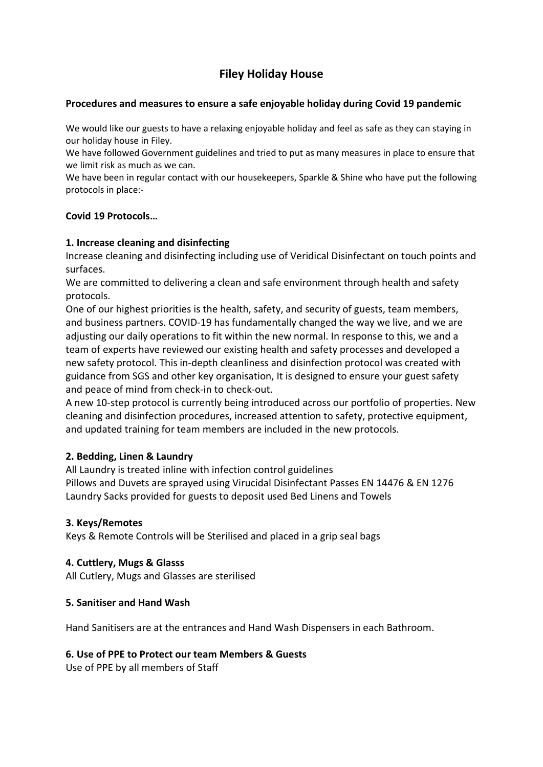# Filey Holiday House

# Procedures and measures to ensure a safe enjoyable holiday during Covid 19 pandemic

We would like our guests to have a relaxing enjoyable holiday and feel as safe as they can staying in our holiday house in Filey.

We have followed Government guidelines and tried to put as many measures in place to ensure that we limit risk as much as we can.

We have been in regular contact with our housekeepers, Sparkle & Shine who have put the following protocols in place:-

# Covid 19 Protocols…

# 1. Increase cleaning and disinfecting

Increase cleaning and disinfecting including use of Veridical Disinfectant on touch points and surfaces.

We are committed to delivering a clean and safe environment through health and safety protocols.

One of our highest priorities is the health, safety, and security of guests, team members, and business partners. COVID-19 has fundamentally changed the way we live, and we are adjusting our daily operations to fit within the new normal. In response to this, we and a team of experts have reviewed our existing health and safety processes and developed a new safety protocol. This in-depth cleanliness and disinfection protocol was created with guidance from SGS and other key organisation, It is designed to ensure your guest safety and peace of mind from check-in to check-out.

A new 10-step protocol is currently being introduced across our portfolio of properties. New cleaning and disinfection procedures, increased attention to safety, protective equipment, and updated training for team members are included in the new protocols.

# 2. Bedding, Linen & Laundry

All Laundry is treated inline with infection control guidelines Pillows and Duvets are sprayed using Virucidal Disinfectant Passes EN 14476 & EN 1276 Laundry Sacks provided for guests to deposit used Bed Linens and Towels

#### 3. Keys/Remotes

Keys & Remote Controls will be Sterilised and placed in a grip seal bags

#### 4. Cuttlery, Mugs & Glasss

All Cutlery, Mugs and Glasses are sterilised

#### 5. Sanitiser and Hand Wash

Hand Sanitisers are at the entrances and Hand Wash Dispensers in each Bathroom.

#### 6. Use of PPE to Protect our team Members & Guests

Use of PPE by all members of Staff